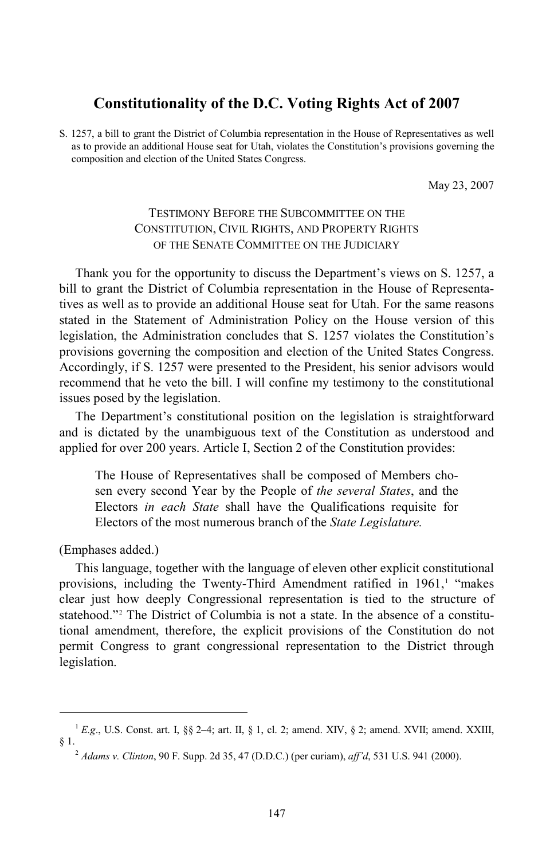## **Constitutionality of the D.C. Voting Rights Act of 2007**

S. 1257, a bill to grant the District of Columbia representation in the House of Representatives as well as to provide an additional House seat for Utah, violates the Constitution's provisions governing the composition and election of the United States Congress.

May 23, 2007

## TESTIMONY BEFORE THE SUBCOMMITTEE ON THE CONSTITUTION, CIVIL RIGHTS, AND PROPERTY RIGHTS OF THE SENATE COMMITTEE ON THE JUDICIARY

Thank you for the opportunity to discuss the Department's views on S. 1257, a bill to grant the District of Columbia representation in the House of Representatives as well as to provide an additional House seat for Utah. For the same reasons stated in the Statement of Administration Policy on the House version of this legislation, the Administration concludes that S. 1257 violates the Constitution's provisions governing the composition and election of the United States Congress. Accordingly, if S. 1257 were presented to the President, his senior advisors would recommend that he veto the bill. I will confine my testimony to the constitutional issues posed by the legislation.

The Department's constitutional position on the legislation is straightforward and is dictated by the unambiguous text of the Constitution as understood and applied for over 200 years. Article I, Section 2 of the Constitution provides:

The House of Representatives shall be composed of Members chosen every second Year by the People of *the several States*, and the Electors *in each State* shall have the Qualifications requisite for Electors of the most numerous branch of the *State Legislature.* 

(Emphases added.)

-

This language, together with the language of eleven other explicit constitutional provisions, including the Twenty-Third Amendment ratified in  $1961$  $1961$ ,<sup>1</sup> "makes clear just how deeply Congressional representation is tied to the structure of statehood."[2](#page-0-1) The District of Columbia is not a state. In the absence of a constitutional amendment, therefore, the explicit provisions of the Constitution do not permit Congress to grant congressional representation to the District through legislation.

<span id="page-0-1"></span><span id="page-0-0"></span><sup>&</sup>lt;sup>1</sup> E.g., U.S. Const. art. I, §§ 2-4; art. II, § 1, cl. 2; amend. XIV, § 2; amend. XVII; amend. XXIII, § 1.

<sup>2</sup> *Adams v. Clinton*, 90 F. Supp. 2d 35, 47 (D.D.C.) (per curiam), *aff'd*, 531 U.S. 941 (2000).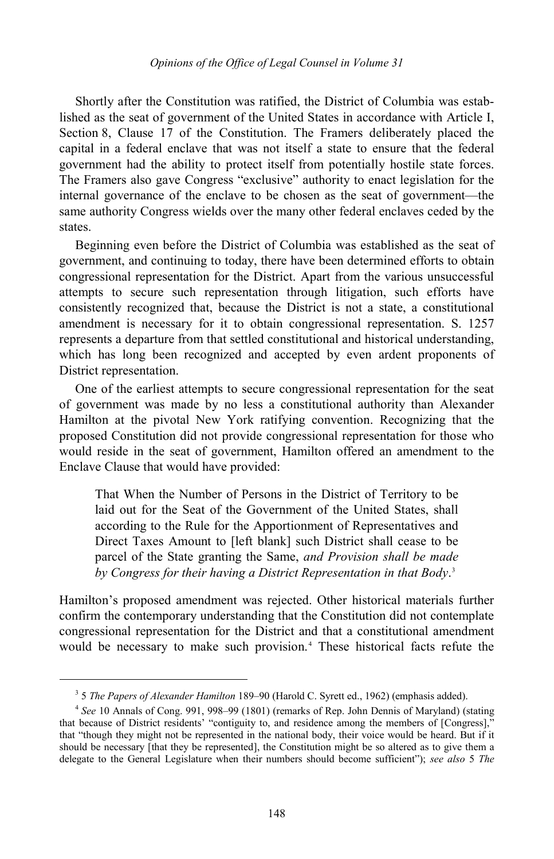Shortly after the Constitution was ratified, the District of Columbia was established as the seat of government of the United States in accordance with Article I, Section 8, Clause 17 of the Constitution. The Framers deliberately placed the capital in a federal enclave that was not itself a state to ensure that the federal government had the ability to protect itself from potentially hostile state forces. The Framers also gave Congress "exclusive" authority to enact legislation for the internal governance of the enclave to be chosen as the seat of government—the same authority Congress wields over the many other federal enclaves ceded by the states.

Beginning even before the District of Columbia was established as the seat of government, and continuing to today, there have been determined efforts to obtain congressional representation for the District. Apart from the various unsuccessful attempts to secure such representation through litigation, such efforts have consistently recognized that, because the District is not a state, a constitutional amendment is necessary for it to obtain congressional representation. S. 1257 represents a departure from that settled constitutional and historical understanding, which has long been recognized and accepted by even ardent proponents of District representation.

One of the earliest attempts to secure congressional representation for the seat of government was made by no less a constitutional authority than Alexander Hamilton at the pivotal New York ratifying convention. Recognizing that the proposed Constitution did not provide congressional representation for those who would reside in the seat of government, Hamilton offered an amendment to the Enclave Clause that would have provided:

That When the Number of Persons in the District of Territory to be laid out for the Seat of the Government of the United States, shall according to the Rule for the Apportionment of Representatives and Direct Taxes Amount to [left blank] such District shall cease to be parcel of the State granting the Same, *and Provision shall be made by Congress for their having a District Representation in that Body*. [3](#page-1-0)

Hamilton's proposed amendment was rejected. Other historical materials further confirm the contemporary understanding that the Constitution did not contemplate congressional representation for the District and that a constitutional amendment would be necessary to make such provision.[4](#page-1-1) These historical facts refute the

<span id="page-1-2"></span><sup>3</sup> 5 *The Papers of Alexander Hamilton* 189–90 (Harold C. Syrett ed., 1962) (emphasis added).

<span id="page-1-1"></span><span id="page-1-0"></span><sup>4</sup> *See* 10 Annals of Cong. 991, 998–99 (1801) (remarks of Rep. John Dennis of Maryland) (stating that because of District residents' "contiguity to, and residence among the members of [Congress]," that "though they might not be represented in the national body, their voice would be heard. But if it should be necessary [that they be represented], the Constitution might be so altered as to give them a delegate to the General Legislature when their numbers should become sufficient"); *see also* 5 *The*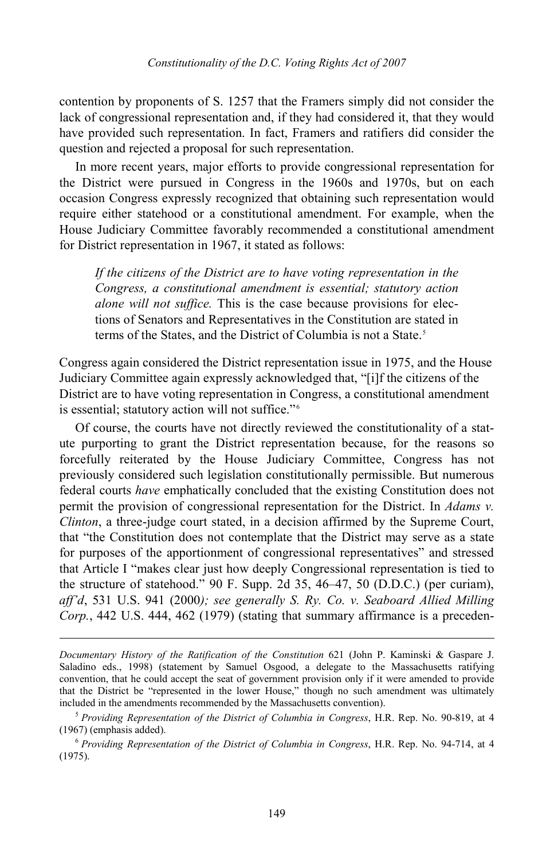contention by proponents of S. 1257 that the Framers simply did not consider the lack of congressional representation and, if they had considered it, that they would have provided such representation. In fact, Framers and ratifiers did consider the question and rejected a proposal for such representation.

In more recent years, major efforts to provide congressional representation for the District were pursued in Congress in the 1960s and 1970s, but on each occasion Congress expressly recognized that obtaining such representation would require either statehood or a constitutional amendment. For example, when the House Judiciary Committee favorably recommended a constitutional amendment for District representation in 1967, it stated as follows:

*If the citizens of the District are to have voting representation in the Congress, a constitutional amendment is essential; statutory action alone will not suffice.* This is the case because provisions for elections of Senators and Representatives in the Constitution are stated in terms of the States, and the District of Columbia is not a State.<sup>[5](#page-2-0)</sup>

Congress again considered the District representation issue in 1975, and the House Judiciary Committee again expressly acknowledged that, "[i]f the citizens of the District are to have voting representation in Congress, a constitutional amendment is essential; statutory action will not suffice."<sup>[6](#page-2-1)</sup>

Of course, the courts have not directly reviewed the constitutionality of a statute purporting to grant the District representation because, for the reasons so forcefully reiterated by the House Judiciary Committee, Congress has not previously considered such legislation constitutionally permissible. But numerous federal courts *have* emphatically concluded that the existing Constitution does not permit the provision of congressional representation for the District. In *Adams v. Clinton*, a three-judge court stated, in a decision affirmed by the Supreme Court, that "the Constitution does not contemplate that the District may serve as a state for purposes of the apportionment of congressional representatives" and stressed that Article I "makes clear just how deeply Congressional representation is tied to the structure of statehood." 90 F. Supp. 2d 35, 46–47, 50 (D.D.C.) (per curiam), *aff'd*, 531 U.S. 941 (2000*); see generally S. Ry. Co. v. Seaboard Allied Milling Corp.*, 442 U.S. 444, 462 (1979) (stating that summary affirmance is a preceden-

*Documentary History of the Ratification of the Constitution* 621 (John P. Kaminski & Gaspare J. Saladino eds., 1998) (statement by Samuel Osgood, a delegate to the Massachusetts ratifying convention, that he could accept the seat of government provision only if it were amended to provide that the District be "represented in the lower House," though no such amendment was ultimately included in the amendments recommended by the Massachusetts convention).

<span id="page-2-0"></span><sup>5</sup> *Providing Representation of the District of Columbia in Congress*, H.R. Rep. No. 90-819, at 4 (1967) (emphasis added).

<span id="page-2-1"></span><sup>6</sup> *Providing Representation of the District of Columbia in Congress*, H.R. Rep. No. 94-714, at 4 (1975).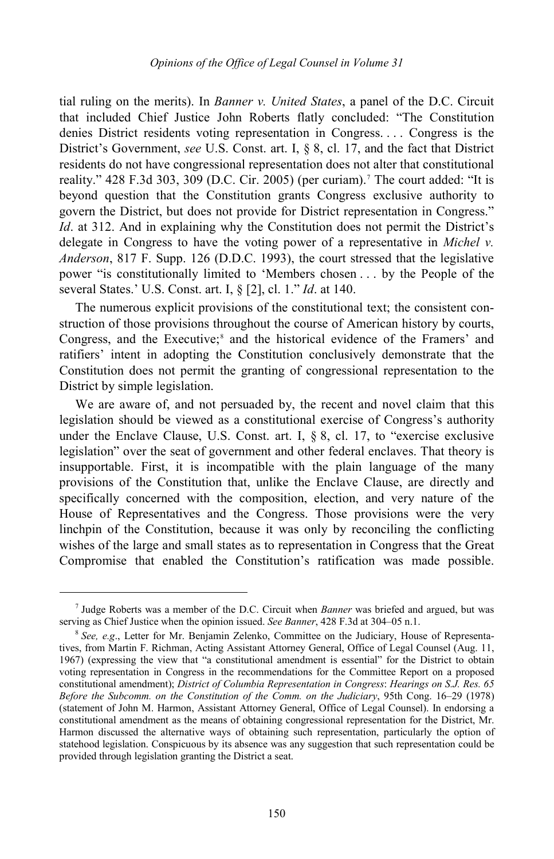tial ruling on the merits). In *Banner v. United States*, a panel of the D.C. Circuit that included Chief Justice John Roberts flatly concluded: "The Constitution denies District residents voting representation in Congress. . . . Congress is the District's Government, *see* U.S. Const. art. I, § 8, cl. 17, and the fact that District residents do not have congressional representation does not alter that constitutional reality." 428 F.3d 303, 309 (D.C. Cir. 2005) (per curiam). [7](#page-3-0) The court added: "It is beyond question that the Constitution grants Congress exclusive authority to govern the District, but does not provide for District representation in Congress." *Id.* at 312. And in explaining why the Constitution does not permit the District's delegate in Congress to have the voting power of a representative in *Michel v. Anderson*, 817 F. Supp. 126 (D.D.C. 1993), the court stressed that the legislative power "is constitutionally limited to 'Members chosen . . . by the People of the several States.' U.S. Const. art. I, § [2], cl. 1." *Id*. at 140.

The numerous explicit provisions of the constitutional text; the consistent construction of those provisions throughout the course of American history by courts, Congress, and the Executive;<sup>[8](#page-3-1)</sup> and the historical evidence of the Framers' and ratifiers' intent in adopting the Constitution conclusively demonstrate that the Constitution does not permit the granting of congressional representation to the District by simple legislation.

We are aware of, and not persuaded by, the recent and novel claim that this legislation should be viewed as a constitutional exercise of Congress's authority under the Enclave Clause, U.S. Const. art. I, § 8, cl. 17, to "exercise exclusive legislation" over the seat of government and other federal enclaves. That theory is insupportable. First, it is incompatible with the plain language of the many provisions of the Constitution that, unlike the Enclave Clause, are directly and specifically concerned with the composition, election, and very nature of the House of Representatives and the Congress. Those provisions were the very linchpin of the Constitution, because it was only by reconciling the conflicting wishes of the large and small states as to representation in Congress that the Great Compromise that enabled the Constitution's ratification was made possible.

-

<span id="page-3-0"></span><sup>7</sup> Judge Roberts was a member of the D.C. Circuit when *Banner* was briefed and argued, but was serving as Chief Justice when the opinion issued. *See Banner*, 428 F.3d at 304–05 n.1.

<span id="page-3-1"></span><sup>&</sup>lt;sup>8</sup> See, e.g., Letter for Mr. Benjamin Zelenko, Committee on the Judiciary, House of Representatives, from Martin F. Richman, Acting Assistant Attorney General, Office of Legal Counsel (Aug. 11, 1967) (expressing the view that "a constitutional amendment is essential" for the District to obtain voting representation in Congress in the recommendations for the Committee Report on a proposed constitutional amendment); *District of Columbia Representation in Congress*: *Hearings on S.J. Res. 65 Before the Subcomm. on the Constitution of the Comm. on the Judiciary*, 95th Cong. 16–29 (1978) (statement of John M. Harmon, Assistant Attorney General, Office of Legal Counsel). In endorsing a constitutional amendment as the means of obtaining congressional representation for the District, Mr. Harmon discussed the alternative ways of obtaining such representation, particularly the option of statehood legislation. Conspicuous by its absence was any suggestion that such representation could be provided through legislation granting the District a seat.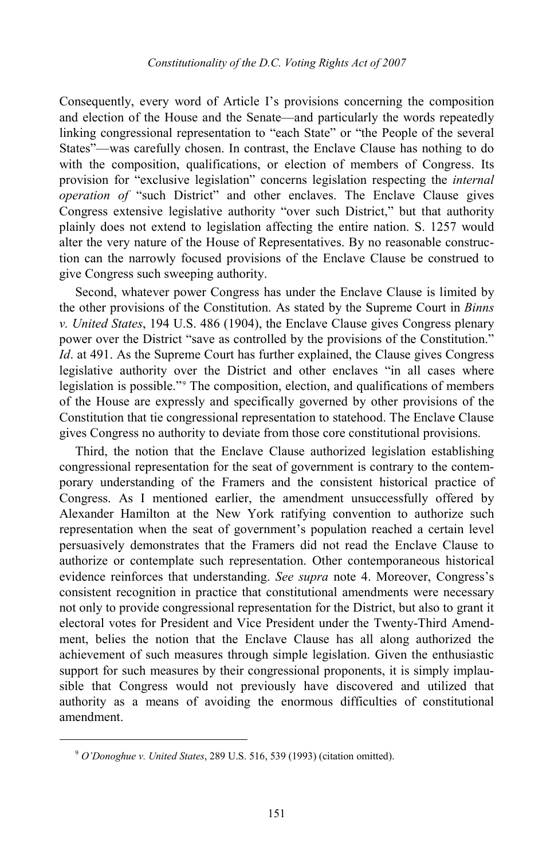Consequently, every word of Article I's provisions concerning the composition and election of the House and the Senate—and particularly the words repeatedly linking congressional representation to "each State" or "the People of the several States"—was carefully chosen. In contrast, the Enclave Clause has nothing to do with the composition, qualifications, or election of members of Congress. Its provision for "exclusive legislation" concerns legislation respecting the *internal operation of* "such District" and other enclaves. The Enclave Clause gives Congress extensive legislative authority "over such District," but that authority plainly does not extend to legislation affecting the entire nation. S. 1257 would alter the very nature of the House of Representatives. By no reasonable construction can the narrowly focused provisions of the Enclave Clause be construed to give Congress such sweeping authority.

Second, whatever power Congress has under the Enclave Clause is limited by the other provisions of the Constitution. As stated by the Supreme Court in *Binns v. United States*, 194 U.S. 486 (1904), the Enclave Clause gives Congress plenary power over the District "save as controlled by the provisions of the Constitution." *Id*. at 491. As the Supreme Court has further explained, the Clause gives Congress legislative authority over the District and other enclaves "in all cases where legislation is possible."<sup>[9](#page-4-0)</sup> The composition, election, and qualifications of members of the House are expressly and specifically governed by other provisions of the Constitution that tie congressional representation to statehood. The Enclave Clause gives Congress no authority to deviate from those core constitutional provisions.

Third, the notion that the Enclave Clause authorized legislation establishing congressional representation for the seat of government is contrary to the contemporary understanding of the Framers and the consistent historical practice of Congress. As I mentioned earlier, the amendment unsuccessfully offered by Alexander Hamilton at the New York ratifying convention to authorize such representation when the seat of government's population reached a certain level persuasively demonstrates that the Framers did not read the Enclave Clause to authorize or contemplate such representation. Other contemporaneous historical evidence reinforces that understanding. *See supra* note [4.](#page-1-2) Moreover, Congress's consistent recognition in practice that constitutional amendments were necessary not only to provide congressional representation for the District, but also to grant it electoral votes for President and Vice President under the Twenty-Third Amendment, belies the notion that the Enclave Clause has all along authorized the achievement of such measures through simple legislation. Given the enthusiastic support for such measures by their congressional proponents, it is simply implausible that Congress would not previously have discovered and utilized that authority as a means of avoiding the enormous difficulties of constitutional amendment.

<span id="page-4-0"></span><sup>9</sup> *O'Donoghue v. United States*, 289 U.S. 516, 539 (1993) (citation omitted).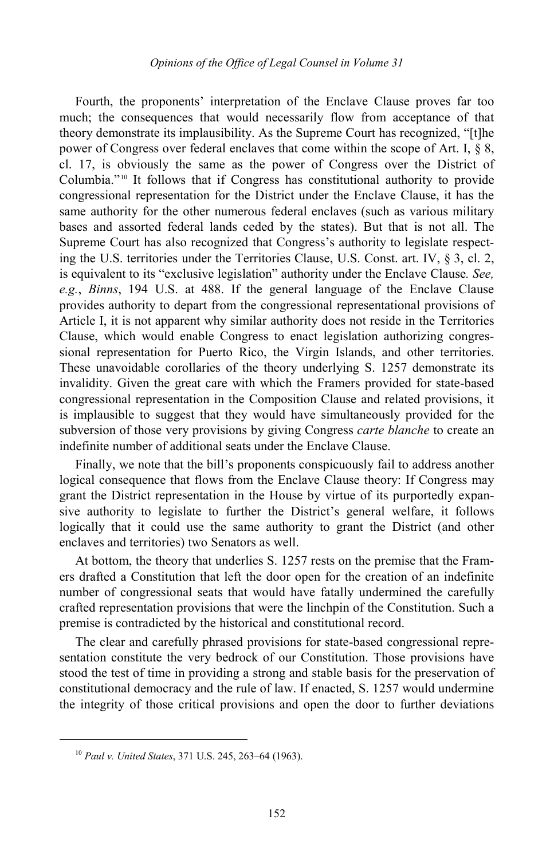Fourth, the proponents' interpretation of the Enclave Clause proves far too much; the consequences that would necessarily flow from acceptance of that theory demonstrate its implausibility. As the Supreme Court has recognized, "[t]he power of Congress over federal enclaves that come within the scope of Art. I, § 8, cl. 17, is obviously the same as the power of Congress over the District of Columbia."[10](#page-5-0) It follows that if Congress has constitutional authority to provide congressional representation for the District under the Enclave Clause, it has the same authority for the other numerous federal enclaves (such as various military bases and assorted federal lands ceded by the states). But that is not all. The Supreme Court has also recognized that Congress's authority to legislate respecting the U.S. territories under the Territories Clause, U.S. Const. art. IV, § 3, cl. 2, is equivalent to its "exclusive legislation" authority under the Enclave Clause*. See, e.g.*, *Binns*, 194 U.S. at 488. If the general language of the Enclave Clause provides authority to depart from the congressional representational provisions of Article I, it is not apparent why similar authority does not reside in the Territories Clause, which would enable Congress to enact legislation authorizing congressional representation for Puerto Rico, the Virgin Islands, and other territories. These unavoidable corollaries of the theory underlying S. 1257 demonstrate its invalidity. Given the great care with which the Framers provided for state-based congressional representation in the Composition Clause and related provisions, it is implausible to suggest that they would have simultaneously provided for the subversion of those very provisions by giving Congress *carte blanche* to create an indefinite number of additional seats under the Enclave Clause.

Finally, we note that the bill's proponents conspicuously fail to address another logical consequence that flows from the Enclave Clause theory: If Congress may grant the District representation in the House by virtue of its purportedly expansive authority to legislate to further the District's general welfare, it follows logically that it could use the same authority to grant the District (and other enclaves and territories) two Senators as well.

At bottom, the theory that underlies S. 1257 rests on the premise that the Framers drafted a Constitution that left the door open for the creation of an indefinite number of congressional seats that would have fatally undermined the carefully crafted representation provisions that were the linchpin of the Constitution. Such a premise is contradicted by the historical and constitutional record.

The clear and carefully phrased provisions for state-based congressional representation constitute the very bedrock of our Constitution. Those provisions have stood the test of time in providing a strong and stable basis for the preservation of constitutional democracy and the rule of law. If enacted, S. 1257 would undermine the integrity of those critical provisions and open the door to further deviations

<span id="page-5-0"></span><sup>10</sup> *Paul v. United States*, 371 U.S. 245, 263–64 (1963).